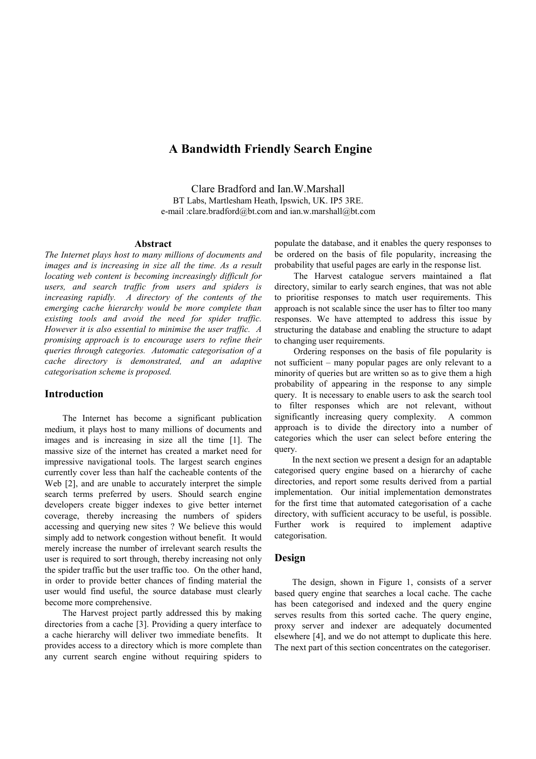# **A Bandwidth Friendly Search Engine**

Clare Bradford and Ian.W.Marshall BT Labs, Martlesham Heath, Ipswich, UK. IP5 3RE. e-mail :clare.bradford@bt.com and ian.w.marshall@bt.com

#### **Abstract**

*The Internet plays host to many millions of documents and images and is increasing in size all the time. As a result locating web content is becoming increasingly difficult for users, and search traffic from users and spiders is increasing rapidly. A directory of the contents of the emerging cache hierarchy would be more complete than existing tools and avoid the need for spider traffic. However it is also essential to minimise the user traffic. A promising approach is to encourage users to refine their queries through categories. Automatic categorisation of a cache directory is demonstrated, and an adaptive categorisation scheme is proposed.*

#### **Introduction**

The Internet has become a significant publication medium, it plays host to many millions of documents and images and is increasing in size all the time [1]. The massive size of the internet has created a market need for impressive navigational tools. The largest search engines currently cover less than half the cacheable contents of the Web [2], and are unable to accurately interpret the simple search terms preferred by users. Should search engine developers create bigger indexes to give better internet coverage, thereby increasing the numbers of spiders accessing and querying new sites ? We believe this would simply add to network congestion without benefit. It would merely increase the number of irrelevant search results the user is required to sort through, thereby increasing not only the spider traffic but the user traffic too. On the other hand, in order to provide better chances of finding material the user would find useful, the source database must clearly become more comprehensive.

 The Harvest project partly addressed this by making directories from a cache [3]. Providing a query interface to a cache hierarchy will deliver two immediate benefits. It provides access to a directory which is more complete than any current search engine without requiring spiders to populate the database, and it enables the query responses to be ordered on the basis of file popularity, increasing the probability that useful pages are early in the response list.

The Harvest catalogue servers maintained a flat directory, similar to early search engines, that was not able to prioritise responses to match user requirements. This approach is not scalable since the user has to filter too many responses. We have attempted to address this issue by structuring the database and enabling the structure to adapt to changing user requirements.

Ordering responses on the basis of file popularity is not sufficient – many popular pages are only relevant to a minority of queries but are written so as to give them a high probability of appearing in the response to any simple query. It is necessary to enable users to ask the search tool to filter responses which are not relevant, without significantly increasing query complexity. A common approach is to divide the directory into a number of categories which the user can select before entering the query.

In the next section we present a design for an adaptable categorised query engine based on a hierarchy of cache directories, and report some results derived from a partial implementation. Our initial implementation demonstrates for the first time that automated categorisation of a cache directory, with sufficient accuracy to be useful, is possible. Further work is required to implement adaptive categorisation.

#### **Design**

The design, shown in Figure 1, consists of a server based query engine that searches a local cache. The cache has been categorised and indexed and the query engine serves results from this sorted cache. The query engine, proxy server and indexer are adequately documented elsewhere [4], and we do not attempt to duplicate this here. The next part of this section concentrates on the categoriser.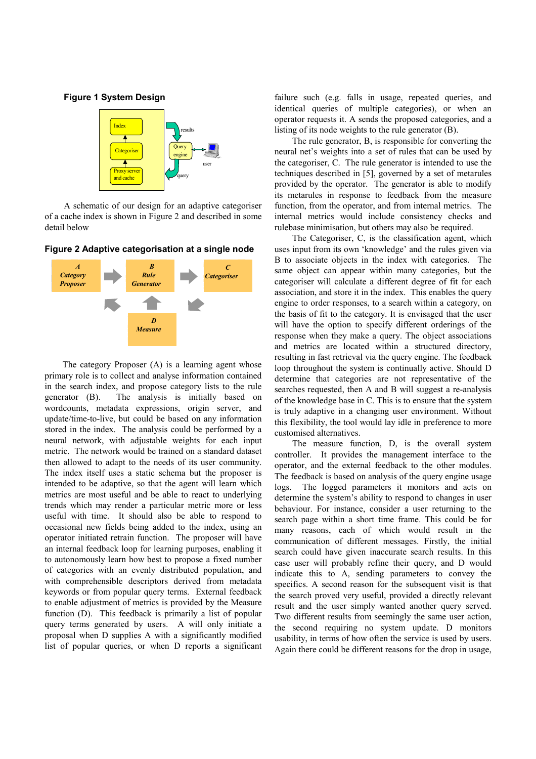



A schematic of our design for an adaptive categoriser of a cache index is shown in Figure 2 and described in some detail below





The category Proposer (A) is a learning agent whose primary role is to collect and analyse information contained in the search index, and propose category lists to the rule generator (B). The analysis is initially based on wordcounts, metadata expressions, origin server, and update/time-to-live, but could be based on any information stored in the index. The analysis could be performed by a neural network, with adjustable weights for each input metric. The network would be trained on a standard dataset then allowed to adapt to the needs of its user community. The index itself uses a static schema but the proposer is intended to be adaptive, so that the agent will learn which metrics are most useful and be able to react to underlying trends which may render a particular metric more or less useful with time. It should also be able to respond to occasional new fields being added to the index, using an operator initiated retrain function. The proposer will have an internal feedback loop for learning purposes, enabling it to autonomously learn how best to propose a fixed number of categories with an evenly distributed population, and with comprehensible descriptors derived from metadata keywords or from popular query terms. External feedback to enable adjustment of metrics is provided by the Measure function (D). This feedback is primarily a list of popular query terms generated by users. A will only initiate a proposal when D supplies A with a significantly modified list of popular queries, or when D reports a significant

failure such (e.g. falls in usage, repeated queries, and identical queries of multiple categories), or when an operator requests it. A sends the proposed categories, and a listing of its node weights to the rule generator (B).

The rule generator, B, is responsible for converting the neural net's weights into a set of rules that can be used by the categoriser, C. The rule generator is intended to use the techniques described in [5], governed by a set of metarules provided by the operator. The generator is able to modify its metarules in response to feedback from the measure function, from the operator, and from internal metrics. The internal metrics would include consistency checks and rulebase minimisation, but others may also be required.

The Categoriser, C, is the classification agent, which uses input from its own 'knowledge' and the rules given via B to associate objects in the index with categories. The same object can appear within many categories, but the categoriser will calculate a different degree of fit for each association, and store it in the index. This enables the query engine to order responses, to a search within a category, on the basis of fit to the category. It is envisaged that the user will have the option to specify different orderings of the response when they make a query. The object associations and metrics are located within a structured directory, resulting in fast retrieval via the query engine. The feedback loop throughout the system is continually active. Should D determine that categories are not representative of the searches requested, then A and B will suggest a re-analysis of the knowledge base in C. This is to ensure that the system is truly adaptive in a changing user environment. Without this flexibility, the tool would lay idle in preference to more customised alternatives.

The measure function, D, is the overall system controller. It provides the management interface to the operator, and the external feedback to the other modules. The feedback is based on analysis of the query engine usage logs. The logged parameters it monitors and acts on determine the system's ability to respond to changes in user behaviour. For instance, consider a user returning to the search page within a short time frame. This could be for many reasons, each of which would result in the communication of different messages. Firstly, the initial search could have given inaccurate search results. In this case user will probably refine their query, and D would indicate this to A, sending parameters to convey the specifics. A second reason for the subsequent visit is that the search proved very useful, provided a directly relevant result and the user simply wanted another query served. Two different results from seemingly the same user action, the second requiring no system update. D monitors usability, in terms of how often the service is used by users. Again there could be different reasons for the drop in usage,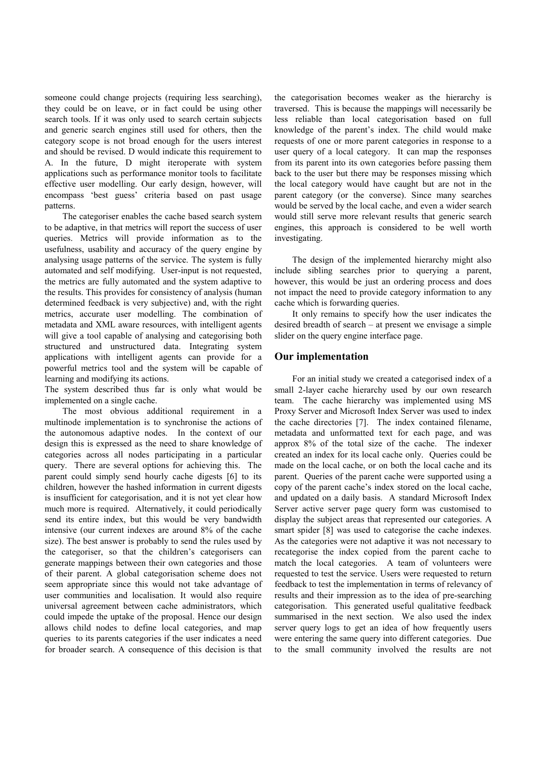someone could change projects (requiring less searching), they could be on leave, or in fact could be using other search tools. If it was only used to search certain subjects and generic search engines still used for others, then the category scope is not broad enough for the users interest and should be revised. D would indicate this requirement to A. In the future, D might iteroperate with system applications such as performance monitor tools to facilitate effective user modelling. Our early design, however, will encompass 'best guess' criteria based on past usage patterns.

The categoriser enables the cache based search system to be adaptive, in that metrics will report the success of user queries. Metrics will provide information as to the usefulness, usability and accuracy of the query engine by analysing usage patterns of the service. The system is fully automated and self modifying. User-input is not requested, the metrics are fully automated and the system adaptive to the results. This provides for consistency of analysis (human determined feedback is very subjective) and, with the right metrics, accurate user modelling. The combination of metadata and XML aware resources, with intelligent agents will give a tool capable of analysing and categorising both structured and unstructured data. Integrating system applications with intelligent agents can provide for a powerful metrics tool and the system will be capable of learning and modifying its actions.

The system described thus far is only what would be implemented on a single cache.

The most obvious additional requirement in a multinode implementation is to synchronise the actions of the autonomous adaptive nodes. In the context of our design this is expressed as the need to share knowledge of categories across all nodes participating in a particular query. There are several options for achieving this. The parent could simply send hourly cache digests [6] to its children, however the hashed information in current digests is insufficient for categorisation, and it is not yet clear how much more is required. Alternatively, it could periodically send its entire index, but this would be very bandwidth intensive (our current indexes are around 8% of the cache size). The best answer is probably to send the rules used by the categoriser, so that the children's categorisers can generate mappings between their own categories and those of their parent. A global categorisation scheme does not seem appropriate since this would not take advantage of user communities and localisation. It would also require universal agreement between cache administrators, which could impede the uptake of the proposal. Hence our design allows child nodes to define local categories, and map queries to its parents categories if the user indicates a need for broader search. A consequence of this decision is that the categorisation becomes weaker as the hierarchy is traversed. This is because the mappings will necessarily be less reliable than local categorisation based on full knowledge of the parent's index. The child would make requests of one or more parent categories in response to a user query of a local category. It can map the responses from its parent into its own categories before passing them back to the user but there may be responses missing which the local category would have caught but are not in the parent category (or the converse). Since many searches would be served by the local cache, and even a wider search would still serve more relevant results that generic search engines, this approach is considered to be well worth investigating.

The design of the implemented hierarchy might also include sibling searches prior to querying a parent, however, this would be just an ordering process and does not impact the need to provide category information to any cache which is forwarding queries.

It only remains to specify how the user indicates the desired breadth of search – at present we envisage a simple slider on the query engine interface page.

## **Our implementation**

For an initial study we created a categorised index of a small 2-layer cache hierarchy used by our own research team. The cache hierarchy was implemented using MS Proxy Server and Microsoft Index Server was used to index the cache directories [7]. The index contained filename, metadata and unformatted text for each page, and was approx 8% of the total size of the cache. The indexer created an index for its local cache only. Queries could be made on the local cache, or on both the local cache and its parent. Queries of the parent cache were supported using a copy of the parent cache's index stored on the local cache, and updated on a daily basis. A standard Microsoft Index Server active server page query form was customised to display the subject areas that represented our categories. A smart spider [8] was used to categorise the cache indexes. As the categories were not adaptive it was not necessary to recategorise the index copied from the parent cache to match the local categories. A team of volunteers were requested to test the service. Users were requested to return feedback to test the implementation in terms of relevancy of results and their impression as to the idea of pre-searching categorisation. This generated useful qualitative feedback summarised in the next section. We also used the index server query logs to get an idea of how frequently users were entering the same query into different categories. Due to the small community involved the results are not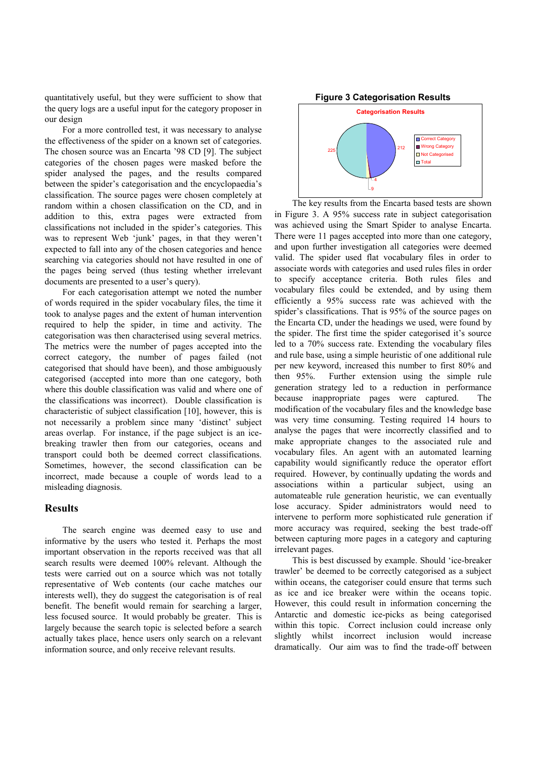quantitatively useful, but they were sufficient to show that the query logs are a useful input for the category proposer in our design

For a more controlled test, it was necessary to analyse the effectiveness of the spider on a known set of categories. The chosen source was an Encarta '98 CD [9]. The subject categories of the chosen pages were masked before the spider analysed the pages, and the results compared between the spider's categorisation and the encyclopaedia's classification. The source pages were chosen completely at random within a chosen classification on the CD, and in addition to this, extra pages were extracted from classifications not included in the spider's categories. This was to represent Web 'junk' pages, in that they weren't expected to fall into any of the chosen categories and hence searching via categories should not have resulted in one of the pages being served (thus testing whether irrelevant documents are presented to a user's query).

For each categorisation attempt we noted the number of words required in the spider vocabulary files, the time it took to analyse pages and the extent of human intervention required to help the spider, in time and activity. The categorisation was then characterised using several metrics. The metrics were the number of pages accepted into the correct category, the number of pages failed (not categorised that should have been), and those ambiguously categorised (accepted into more than one category, both where this double classification was valid and where one of the classifications was incorrect). Double classification is characteristic of subject classification [10], however, this is not necessarily a problem since many 'distinct' subject areas overlap. For instance, if the page subject is an icebreaking trawler then from our categories, oceans and transport could both be deemed correct classifications. Sometimes, however, the second classification can be incorrect, made because a couple of words lead to a misleading diagnosis.

## **Results**

The search engine was deemed easy to use and informative by the users who tested it. Perhaps the most important observation in the reports received was that all search results were deemed 100% relevant. Although the tests were carried out on a source which was not totally representative of Web contents (our cache matches our interests well), they do suggest the categorisation is of real benefit. The benefit would remain for searching a larger, less focused source. It would probably be greater. This is largely because the search topic is selected before a search actually takes place, hence users only search on a relevant information source, and only receive relevant results.





The key results from the Encarta based tests are shown in Figure 3. A 95% success rate in subject categorisation was achieved using the Smart Spider to analyse Encarta. There were 11 pages accepted into more than one category, and upon further investigation all categories were deemed valid. The spider used flat vocabulary files in order to associate words with categories and used rules files in order to specify acceptance criteria. Both rules files and vocabulary files could be extended, and by using them efficiently a 95% success rate was achieved with the spider's classifications. That is 95% of the source pages on the Encarta CD, under the headings we used, were found by the spider. The first time the spider categorised it's source led to a 70% success rate. Extending the vocabulary files and rule base, using a simple heuristic of one additional rule per new keyword, increased this number to first 80% and then 95%. Further extension using the simple rule generation strategy led to a reduction in performance because inappropriate pages were captured. The modification of the vocabulary files and the knowledge base was very time consuming. Testing required 14 hours to analyse the pages that were incorrectly classified and to make appropriate changes to the associated rule and vocabulary files. An agent with an automated learning capability would significantly reduce the operator effort required. However, by continually updating the words and associations within a particular subject, using an automateable rule generation heuristic, we can eventually lose accuracy. Spider administrators would need to intervene to perform more sophisticated rule generation if more accuracy was required, seeking the best trade-off between capturing more pages in a category and capturing irrelevant pages.

This is best discussed by example. Should 'ice-breaker trawler' be deemed to be correctly categorised as a subject within oceans, the categoriser could ensure that terms such as ice and ice breaker were within the oceans topic. However, this could result in information concerning the Antarctic and domestic ice-picks as being categorised within this topic. Correct inclusion could increase only slightly whilst incorrect inclusion would increase dramatically. Our aim was to find the trade-off between